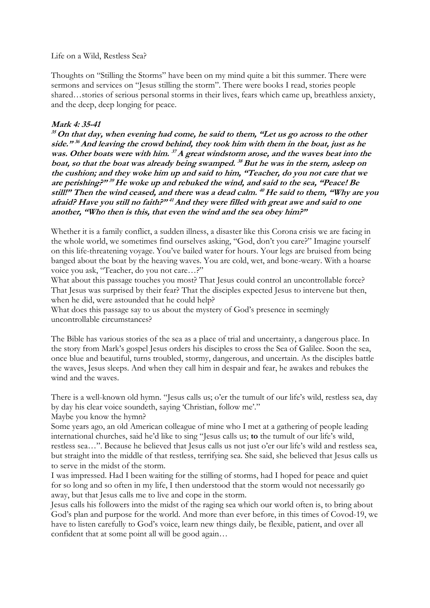## Life on a Wild, Restless Sea?

Thoughts on "Stilling the Storms" have been on my mind quite a bit this summer. There were sermons and services on "Jesus stilling the storm". There were books I read, stories people shared…stories of serious personal storms in their lives, fears which came up, breathless anxiety, and the deep, deep longing for peace.

## **Mark 4: 35-41**

**<sup>35</sup> On that day, when evening had come, he said to them, "Let us go across to the other side." <sup>36</sup> And leaving the crowd behind, they took him with them in the boat, just as he was. Other boats were with him. <sup>37</sup> A great windstorm arose, and the waves beat into the boat, so that the boat was already being swamped. <sup>38</sup> But he was in the stern, asleep on the cushion; and they woke him up and said to him, "Teacher, do you not care that we are perishing?" <sup>39</sup> He woke up and rebuked the wind, and said to the sea, "Peace! Be still!" Then the wind ceased, and there was a dead calm. <sup>40</sup> He said to them, "Why are you afraid? Have you still no faith?" <sup>41</sup> And they were filled with great awe and said to one another, "Who then is this, that even the wind and the sea obey him?"**

Whether it is a family conflict, a sudden illness, a disaster like this Corona crisis we are facing in the whole world, we sometimes find ourselves asking, "God, don't you care?" Imagine yourself on this life-threatening voyage. You've bailed water for hours. Your legs are bruised from being banged about the boat by the heaving waves. You are cold, wet, and bone-weary. With a hoarse voice you ask, "Teacher, do you not care…?"

What about this passage touches you most? That Jesus could control an uncontrollable force? That Jesus was surprised by their fear? That the disciples expected Jesus to intervene but then, when he did, were astounded that he could help?

What does this passage say to us about the mystery of God's presence in seemingly uncontrollable circumstances?

The Bible has various stories of the sea as a place of trial and uncertainty, a dangerous place. In the story from Mark's gospel Jesus orders his disciples to cross the Sea of Galilee. Soon the sea, once blue and beautiful, turns troubled, stormy, dangerous, and uncertain. As the disciples battle the waves, Jesus sleeps. And when they call him in despair and fear, he awakes and rebukes the wind and the waves.

There is a well-known old hymn. "Jesus calls us; o'er the tumult of our life's wild, restless sea, day by day his clear voice soundeth, saying 'Christian, follow me'."

Maybe you know the hymn?

Some years ago, an old American colleague of mine who I met at a gathering of people leading international churches, said he'd like to sing "Jesus calls us; **to** the tumult of our life's wild, restless sea…". Because he believed that Jesus calls us not just o'er our life's wild and restless sea, but straight into the middle of that restless, terrifying sea. She said, she believed that Jesus calls us to serve in the midst of the storm.

I was impressed. Had I been waiting for the stilling of storms, had I hoped for peace and quiet for so long and so often in my life, I then understood that the storm would not necessarily go away, but that Jesus calls me to live and cope in the storm.

Jesus calls his followers into the midst of the raging sea which our world often is, to bring about God's plan and purpose for the world. And more than ever before, in this times of Covod-19, we have to listen carefully to God's voice, learn new things daily, be flexible, patient, and over all confident that at some point all will be good again…